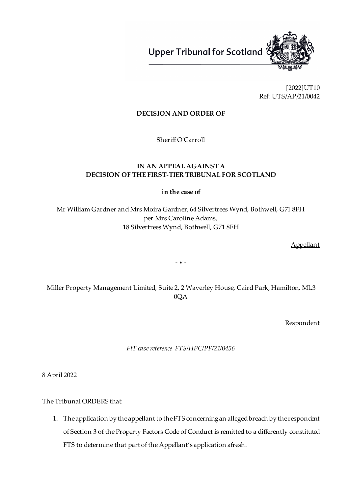**Upper Tribunal for Scotland** 



[2022]UT10 Ref: UTS/AP/21/0042

# **DECISION AND ORDER OF**

Sheriff O'Carroll

# **IN AN APPEAL AGAINST A DECISION OF THE FIRST-TIER TRIBUNAL FOR SCOTLAND**

**in the case of**

Mr William Gardner and Mrs Moira Gardner, 64 Silvertrees Wynd, Bothwell, G71 8FH per Mrs Caroline Adams, 18 Silvertrees Wynd, Bothwell, G71 8FH

Appellant

- v -

Miller Property Management Limited, Suite 2, 2 Waverley House, Caird Park, Hamilton, ML3 0QA

Respondent

*FtT case reference FTS/HPC/PF/21/0456*

8 April 2022

The Tribunal ORDERS that:

1. Theapplication by the appellant to the FTS concerning an alleged breach by the respondent of Section 3 of the Property Factors Code of Conduct is remitted to a differently constituted FTS to determine that part of the Appellant's application afresh.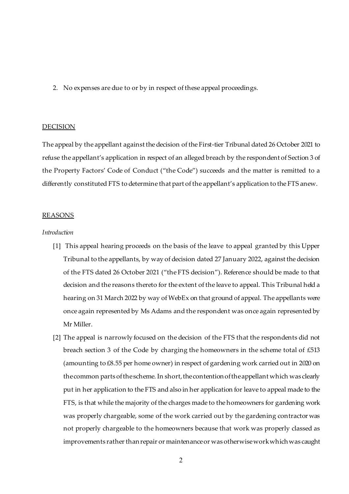2. No expenses are due to or by in respect of these appeal proceedings.

### DECISION

The appeal by the appellant against the decision of the First-tier Tribunal dated 26 October 2021 to refuse the appellant's application in respect of an alleged breach by the respondent of Section 3 of the Property Factors' Code of Conduct ("the Code") succeeds and the matter is remitted to a differently constituted FTS to determine that part of the appellant's application to the FTS anew.

#### REASONS

## *Introduction*

- [1] This appeal hearing proceeds on the basis of the leave to appeal granted by this Upper Tribunal to the appellants, by way of decision dated 27 January 2022, against the decision of the FTS dated 26 October 2021 ("the FTS decision"). Reference should be made to that decision and the reasons thereto for the extent of the leave to appeal. This Tribunal held a hearing on 31 March 2022 by way of WebEx on that ground of appeal. The appellants were once again represented by Ms Adams and the respondent was once again represented by Mr Miller.
- [2] The appeal is narrowly focused on the decision of the FTS that the respondents did not breach section 3 of the Code by charging the homeowners in the scheme total of £513 (amounting to £8.55 per home owner) in respect of gardening work carried out in 2020 on the common parts of the scheme. In short, the contention of the appellant which was clearly put in her application to the FTS and also in her application for leave to appeal made to the FTS, is that while the majority of the charges made to the homeowners for gardening work was properly chargeable, some of the work carried out by the gardening contractor was not properly chargeable to the homeowners because that work was properly classed as improvements rather than repair or maintenance or was otherwisework which was caught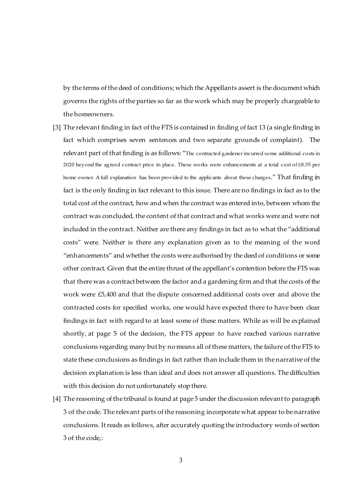by the terms of the deed of conditions; which the Appellants assert is the document which governs the rights of the parties so far as the work which may be properly chargeable to the homeowners.

- [3] The relevant finding in fact of the FTS is contained in finding of fact 13 (a single finding in fact which comprises seven sentences and two separate grounds of complaint). The relevant part of that finding is as follows: "The contracted gardener incurred some additional costs in 2020 beyond the agreed contract price in place. These works were enhancements at a total cost of £8.55 per home owner. A full explanation has been provided to the applicants about these charges." That finding in fact is the only finding in fact relevant to this issue. There are no findings in fact as to the total cost of the contract, how and when the contract was entered into, between whom the contract was concluded, the content of that contract and what works were and were not included in the contract. Neither are there any findings in fact as to what the "additional costs" were. Neither is there any explanation given as to the meaning of the word "enhancements" and whether the costs were authorised by the deed of conditions or some other contract. Given that the entire thrust of the appellant's contention before the FTS was that there was a contract between the factor and a gardening firm and that the costs of the work were £5,400 and that the dispute concerned additional costs over and above the contracted costs for specified works, one would have expected there to have been clear findings in fact with regard to at least some of these matters. While as will be explained shortly, at page 5 of the decision, the FTS appear to have reached various narrative conclusions regarding many but by no means all of these matters, the failure of the FTS to state these conclusions as findings in fact rather than include them in the narrative of the decision explanation is less than ideal and does not answer all questions. The difficulties with this decision do not unfortunately stop there.
- [4] The reasoning of the tribunal is found at page 5 under the discussion relevant to paragraph 3 of the code. The relevant parts of the reasoning incorporate what appear to be narrative conclusions. It reads as follows, after accurately quoting the introductory words of section 3 of the code,: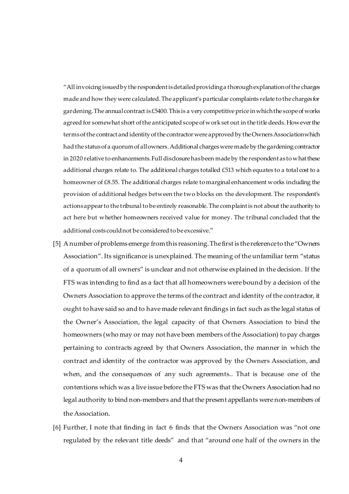"All invoicing issued by the respondent is detailed providing a thorough explanation of the charges made and how they were calculated. The applicant's particular complaints relate to the charges for gardening. The annual contract is £5400. This is a very competitive price in which the scope of works agreed for somewhat short of the anticipated scope of work set out in the title deeds. However the terms of the contract and identity of the contractor were approved by the Owners Association which had the status of a quorum of all owners. Additional charges were made by the gardening contractor in 2020 relative to enhancements. Full disclosure has been made by the respondent as to what these additional charges relate to. The additional charges totalled  $£513$  which equates to a total cost to a homeowner of £8.55. The additional charges relate to marginal enhancement works including the provision of additional hedges between the two blocks on the development. The respondent's actions appear to the tribunal to be entirely reasonable. The complaint is not about the authority to act here but whether homeowners received value for money. The tribunal concluded that the additional costs could not be considered to be excessive."

- [5] A number of problems emerge from this reasoning. The first is the reference to the "Owners Association". Its significance is unexplained. The meaning of the unfamiliar term "status of a quorum of all owners" is unclear and not otherwise explained in the decision. If the FTS was intending to find as a fact that all homeowners were bound by a decision of the Owners Association to approve the terms of the contract and identity of the contractor, it ought to have said so and to have made relevant findings in fact such as the legal status of the Owner's Association, the legal capacity of that Owners Association to bind the homeowners (who may or may not have been members of the Association) to pay charges pertaining to contracts agreed by that Owners Association, the manner in which the contract and identity of the contractor was approved by the Owners Association, and when, and the consequences of any such agreements.. That is because one of the contentions which was a live issue before the FTS was that the Owners Association had no legal authority to bind non-members and that the present appellants were non-members of the Association.
- [6] Further, I note that finding in fact 6 finds that the Owners Association was "not one regulated by the relevant title deeds" and that "around one half of the owners in the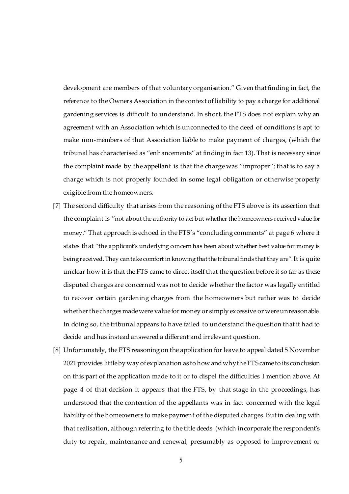development are members of that voluntary organisation." Given that finding in fact, the reference to the Owners Association in the context of liability to pay a charge for additional gardening services is difficult to understand. In short, the FTS does not explain why an agreement with an Association which is unconnected to the deed of conditions is apt to make non-members of that Association liable to make payment of charges, (which the tribunal has characterised as "enhancements" at finding in fact 13). That is necessary since the complaint made by the appellant is that the charge was "improper"; that is to say a charge which is not properly founded in some legal obligation or otherwise properly exigible from the homeowners.

- [7] The second difficulty that arises from the reasoning of the FTS above is its assertion that the complaint is "not about the authority to act but whether the homeowners received value for money." That approach is echoed in the FTS's "concluding comments" at page 6 where it states that "the applicant's underlying concern has been about whether best value for money is being received. They can take comfort in knowing that the tribunal finds that they are". It is quite unclear how it is that the FTS came to direct itself that the question before it so far as these disputed charges are concerned was not to decide whether the factor was legally entitled to recover certain gardening charges from the homeowners but rather was to decide whether the charges made were value for money or simply excessive or were unreasonable. In doing so, the tribunal appears to have failed to understand the question that it had to decide and has instead answered a different and irrelevant question.
- [8] Unfortunately, the FTS reasoning on the application for leave to appeal dated 5 November 2021 provides little by way of explanation as to how and why the FTScame to its conclusion on this part of the application made to it or to dispel the difficulties I mention above. At page 4 of that decision it appears that the FTS, by that stage in the proceedings, has understood that the contention of the appellants was in fact concerned with the legal liability of the homeowners to make payment of the disputed charges. But in dealing with that realisation, although referring to the title deeds (which incorporate the respondent's duty to repair, maintenance and renewal, presumably as opposed to improvement or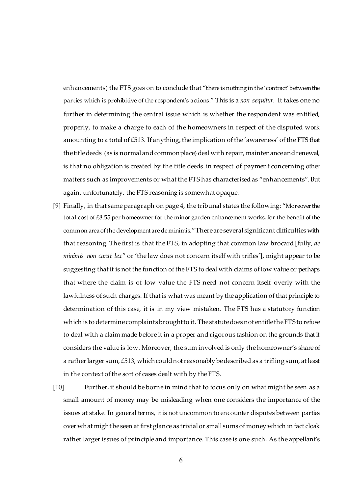enhancements) the FTS goes on to conclude that "there is nothing in the 'contract' between the parties which is prohibitive of the respondent's actions." This is a *non sequitur*. It takes one no further in determining the central issue which is whether the respondent was entitled, properly, to make a charge to each of the homeowners in respect of the disputed work amounting to a total of £513. If anything, the implication of the 'awareness' of the FTS that the title deeds (as is normal and commonplace) deal with repair, maintenance and renewal, is that no obligation is created by the title deeds in respect of payment concerning other matters such as improvements or what the FTS has characterised as "enhancements". But again, unfortunately, the FTS reasoning is somewhat opaque.

- [9] Finally, in that same paragraph on page 4, the tribunal states the following: "Moreover the total cost of £8.55 per homeowner for the minor garden enhancement works, for the benefit of the common area of the development are de minimis." There are several significant difficulties with that reasoning. The first is that the FTS, in adopting that common law brocard [fully, *de minimis non curat lex*" or 'the law does not concern itself with trifles'], might appear to be suggesting that it is not the function of the FTS to deal with claims of low value or perhaps that where the claim is of low value the FTS need not concern itself overly with the lawfulness of such charges. If that is what was meant by the application of that principle to determination of this case, it is in my view mistaken. The FTS has a statutory function which is to determine complaints brought to it. The statute does not entitle theFTS to refuse to deal with a claim made before it in a proper and rigorous fashion on the grounds that it considers the value is low. Moreover, the sum involved is only the homeowner's share of a rather larger sum, £513, which could not reasonably be described as a trifling sum, at least in the context of the sort of cases dealt with by the FTS.
- [10] Further, it should be borne in mind that to focus only on what might be seen as a small amount of money may be misleading when one considers the importance of the issues at stake. In general terms, it is not uncommon to encounter disputes between parties over what might be seen at first glance as trivial or small sums of money which in fact cloak rather larger issues of principle and importance. This case is one such. As the appellant's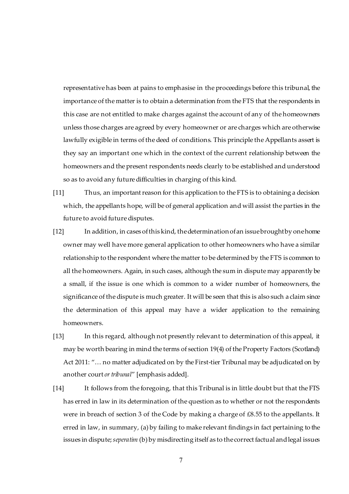representative has been at pains to emphasise in the proceedings before this tribunal, the importance of the matter is to obtain a determination from the FTS that the respondents in this case are not entitled to make charges against the account of any of the homeowners unless those charges are agreed by every homeowner or are charges which are otherwise lawfully exigible in terms of the deed of conditions. This principle the Appellants assert is they say an important one which in the context of the current relationship between the homeowners and the present respondents needs clearly to be established and understood so as to avoid any future difficulties in charging of this kind.

- [11] Thus, an important reason for this application to the FTS is to obtaining a decision which, the appellants hope, will be of general application and will assist the parties in the future to avoid future disputes.
- [12] In addition, in cases of this kind, the determination of an issue brought by one home owner may well have more general application to other homeowners who have a similar relationship to the respondent where the matter to be determined by the FTS is common to all the homeowners. Again, in such cases, although the sum in dispute may apparently be a small, if the issue is one which is common to a wider number of homeowners, the significance of the dispute is much greater. It will be seen that this is also such a claim since the determination of this appeal may have a wider application to the remaining homeowners.
- [13] In this regard, although not presently relevant to determination of this appeal, it may be worth bearing in mind the terms of section 19(4) of the Property Factors (Scotland) Act 2011: "… no matter adjudicated on by the First-tier Tribunal may be adjudicated on by another court *or tribunal*" [emphasis added].
- [14] It follows from the foregoing, that this Tribunal is in little doubt but that the FTS has erred in law in its determination of the question as to whether or not the respondents were in breach of section 3 of the Code by making a charge of £8.55 to the appellants. It erred in law, in summary, (a) by failing to make relevant findings in fact pertaining to the issues in dispute; *seperatim* (b) by misdirecting itself as to the correct factual and legal issues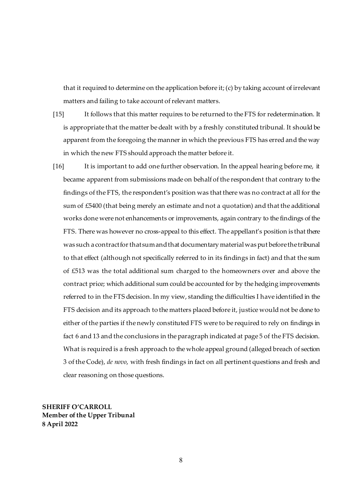that it required to determine on the application before it; (c) by taking account of irrelevant matters and failing to take account of relevant matters.

- [15] It follows that this matter requires to be returned to the FTS for redetermination. It is appropriate that the matter be dealt with by a freshly constituted tribunal. It should be apparent from the foregoing the manner in which the previous FTS has erred and the way in which the new FTS should approach the matter before it.
- [16] It is important to add one further observation. In the appeal hearing before me, it became apparent from submissions made on behalf of the respondent that contrary to the findings of the FTS, the respondent's position was that there was no contract at all for the sum of £5400 (that being merely an estimate and not a quotation) and that the additional works done were not enhancements or improvements, again contrary to the findings of the FTS. There was however no cross-appeal to this effect. The appellant's position is that there was such a contract for that sum and that documentary material was put before the tribunal to that effect (although not specifically referred to in its findings in fact) and that the sum of £513 was the total additional sum charged to the homeowners over and above the contract price; which additional sum could be accounted for by the hedging improvements referred to in the FTS decision. In my view, standing the difficulties I have identified in the FTS decision and its approach to the matters placed before it, justice would not be done to either of the parties if the newly constituted FTS were to be required to rely on findings in fact 6 and 13 and the conclusions in the paragraph indicated at page 5 of the FTS decision. What is required is a fresh approach to the whole appeal ground (alleged breach of section 3 of the Code), *de novo*, with fresh findings in fact on all pertinent questions and fresh and clear reasoning on those questions.

**SHERIFF O'CARROLL Member of the Upper Tribunal 8 April 2022**